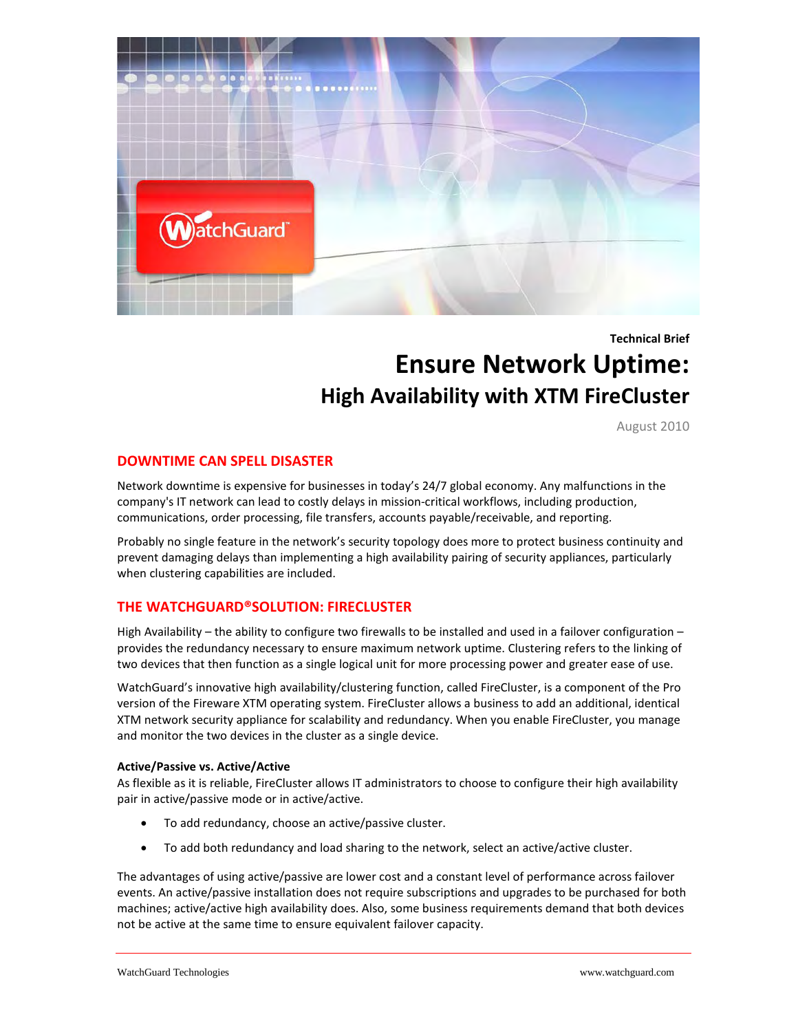

**Technical Brief**

# **Ensure Network Uptime: High Availability with XTM FireCluster**

August 2010

## **DOWNTIME CAN SPELL DISASTER**

Network downtime is expensive for businesses in today's 24/7 global economy. Any malfunctions in the company's IT network can lead to costly delays in mission-critical workflows, including production, communications, order processing, file transfers, accounts payable/receivable, and reporting.

Probably no single feature in the network's security topology does more to protect business continuity and prevent damaging delays than implementing a high availability pairing of security appliances, particularly when clustering capabilities are included.

## **THE WATCHGUARD®SOLUTION: FIRECLUSTER**

High Availability – the ability to configure two firewalls to be installed and used in a failover configuration – provides the redundancy necessary to ensure maximum network uptime. Clustering refers to the linking of two devices that then function as a single logical unit for more processing power and greater ease of use.

WatchGuard's innovative high availability/clustering function, called FireCluster, is a component of the Pro version of the Fireware XTM operating system. FireCluster allows a business to add an additional, identical XTM network security appliance for scalability and redundancy. When you enable FireCluster, you manage and monitor the two devices in the cluster as a single device.

## **Active/Passive vs. Active/Active**

As flexible as it is reliable, FireCluster allows IT administrators to choose to configure their high availability pair in active/passive mode or in active/active.

- To add redundancy, choose an active/passive cluster.
- To add both redundancy and load sharing to the network, select an active/active cluster.

The advantages of using active/passive are lower cost and a constant level of performance across failover events. An active/passive installation does not require subscriptions and upgrades to be purchased for both machines; active/active high availability does. Also, some business requirements demand that both devices not be active at the same time to ensure equivalent failover capacity.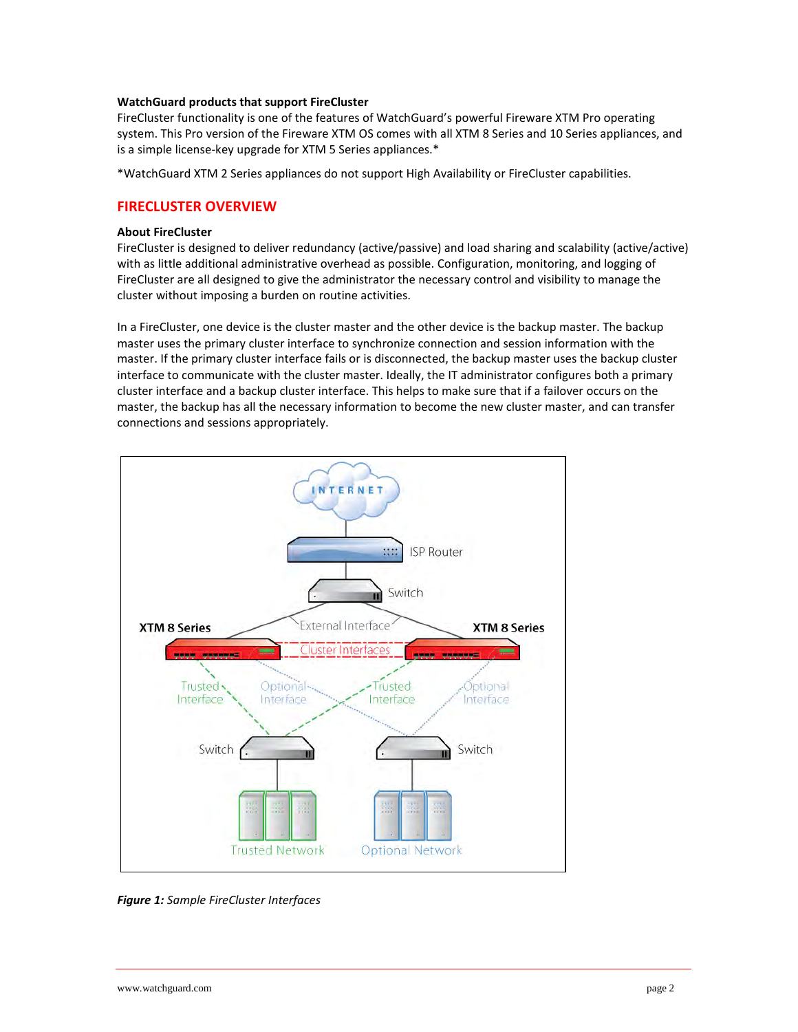#### **WatchGuard products that support FireCluster**

FireCluster functionality is one of the features of WatchGuard's powerful Fireware XTM Pro operating system. This Pro version of the Fireware XTM OS comes with all XTM 8 Series and 10 Series appliances, and is a simple license-key upgrade for XTM 5 Series appliances.\*

\*WatchGuard XTM 2 Series appliances do not support High Availability or FireCluster capabilities.

## **FIRECLUSTER OVERVIEW**

#### **About FireCluster**

FireCluster is designed to deliver redundancy (active/passive) and load sharing and scalability (active/active) with as little additional administrative overhead as possible. Configuration, monitoring, and logging of FireCluster are all designed to give the administrator the necessary control and visibility to manage the cluster without imposing a burden on routine activities.

In a FireCluster, one device is the cluster master and the other device is the backup master. The backup master uses the primary cluster interface to synchronize connection and session information with the master. If the primary cluster interface fails or is disconnected, the backup master uses the backup cluster interface to communicate with the cluster master. Ideally, the IT administrator configures both a primary cluster interface and a backup cluster interface. This helps to make sure that if a failover occurs on the master, the backup has all the necessary information to become the new cluster master, and can transfer connections and sessions appropriately.



*Figure 1: Sample FireCluster Interfaces*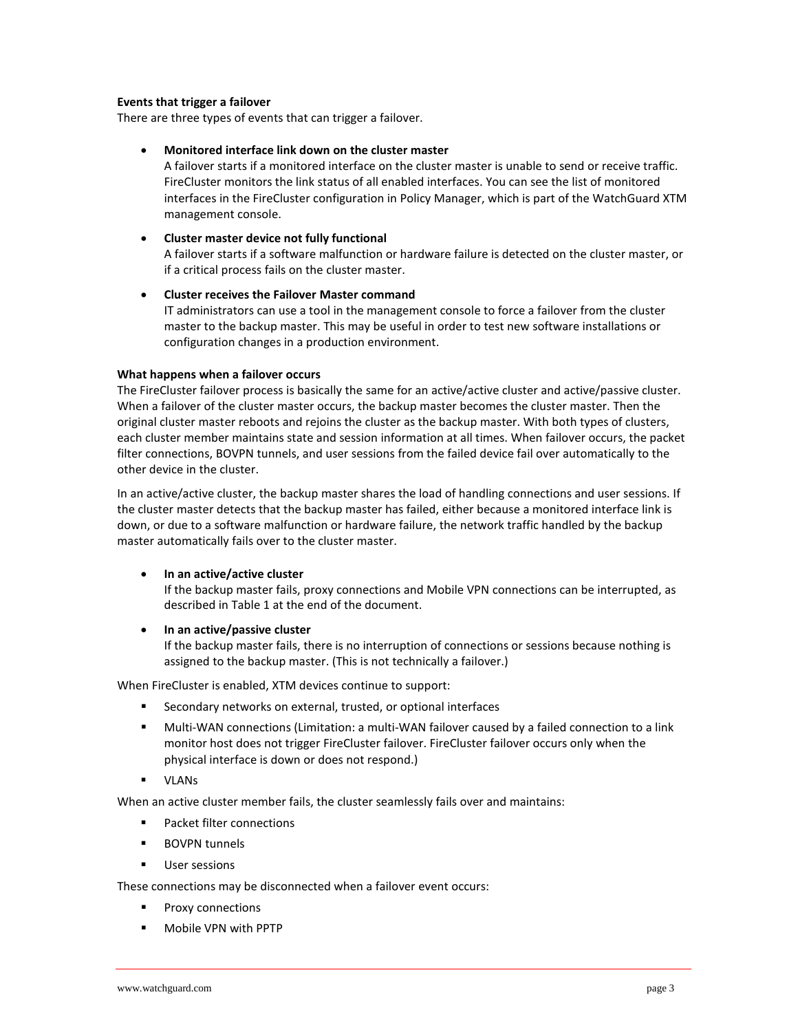#### **Events that trigger a failover**

There are three types of events that can trigger a failover.

## • **Monitored interface link down on the cluster master**

A failover starts if a monitored interface on the cluster master is unable to send or receive traffic. FireCluster monitors the link status of all enabled interfaces. You can see the list of monitored interfaces in the FireCluster configuration in Policy Manager, which is part of the WatchGuard XTM management console.

## • **Cluster master device not fully functional**

A failover starts if a software malfunction or hardware failure is detected on the cluster master, or if a critical process fails on the cluster master.

## • **Cluster receives the Failover Master command**

IT administrators can use a tool in the management console to force a failover from the cluster master to the backup master. This may be useful in order to test new software installations or configuration changes in a production environment.

## **What happens when a failover occurs**

The FireCluster failover process is basically the same for an active/active cluster and active/passive cluster. When a failover of the cluster master occurs, the backup master becomes the cluster master. Then the original cluster master reboots and rejoins the cluster as the backup master. With both types of clusters, each cluster member maintains state and session information at all times. When failover occurs, the packet filter connections, BOVPN tunnels, and user sessions from the failed device fail over automatically to the other device in the cluster.

In an active/active cluster, the backup master shares the load of handling connections and user sessions. If the cluster master detects that the backup master has failed, either because a monitored interface link is down, or due to a software malfunction or hardware failure, the network traffic handled by the backup master automatically fails over to the cluster master.

## • **In an active/active cluster**

If the backup master fails, proxy connections and Mobile VPN connections can be interrupted, as described in Table 1 at the end of the document.

## • **In an active/passive cluster**

If the backup master fails, there is no interruption of connections or sessions because nothing is assigned to the backup master. (This is not technically a failover.)

When FireCluster is enabled, XTM devices continue to support:

- Secondary networks on external, trusted, or optional interfaces
- Multi-WAN connections (Limitation: a multi-WAN failover caused by a failed connection to a link monitor host does not trigger FireCluster failover. FireCluster failover occurs only when the physical interface is down or does not respond.)
- **ULANS**

When an active cluster member fails, the cluster seamlessly fails over and maintains:

- **Packet filter connections**
- **BOVPN** tunnels
- **User sessions**

These connections may be disconnected when a failover event occurs:

- **Proxy connections**
- Mobile VPN with PPTP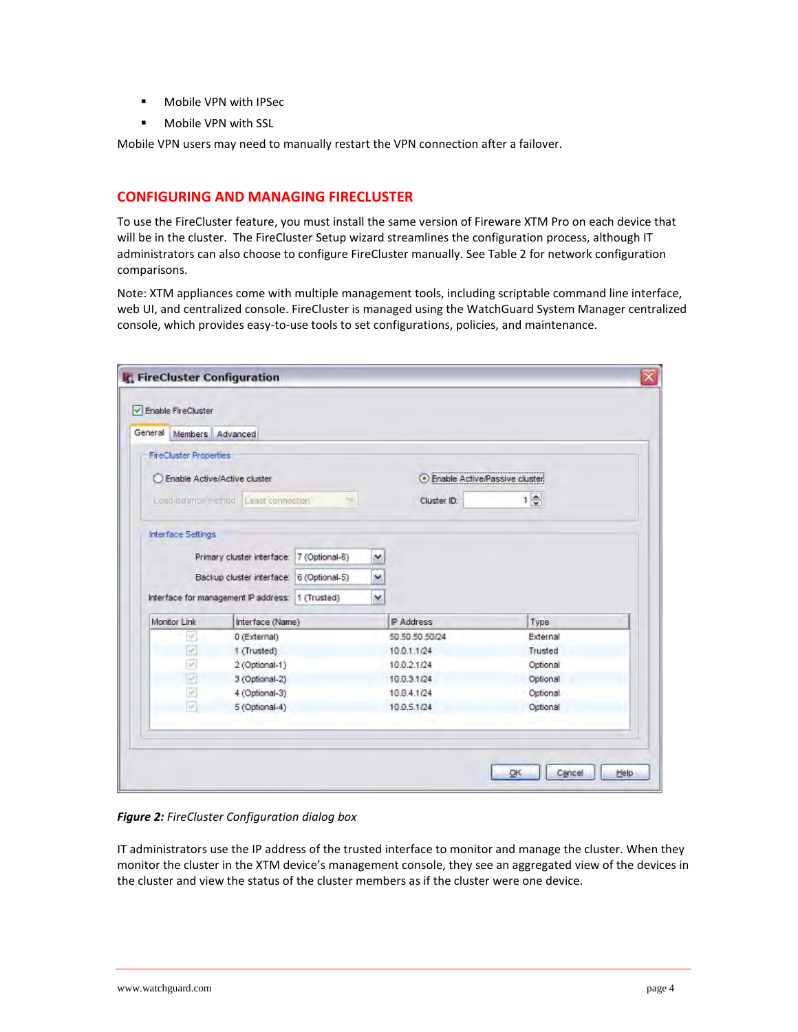- Mobile VPN with IPSec
- **Mobile VPN with SSL**

Mobile VPN users may need to manually restart the VPN connection after a failover.

## **CONFIGURING AND MANAGING FIRECLUSTER**

To use the FireCluster feature, you must install the same version of Fireware XTM Pro on each device that will be in the cluster. The FireCluster Setup wizard streamlines the configuration process, although IT administrators can also choose to configure FireCluster manually. See Table 2 for network configuration comparisons.

Note: XTM appliances come with multiple management tools, including scriptable command line interface, web UI, and centralized console. FireCluster is managed using the WatchGuard System Manager centralized console, which provides easy-to-use tools to set configurations, policies, and maintenance.

| <b>FireCluster Properties</b>                                                                |                  |   |             |                                      |          |  |
|----------------------------------------------------------------------------------------------|------------------|---|-------------|--------------------------------------|----------|--|
| C Enable Active/Active cluster                                                               |                  |   |             | <b>Enable Active/Passive cluster</b> |          |  |
| Losd-balance method: Least connection                                                        |                  |   | Cluster ID: | $1\frac{1}{2}$                       |          |  |
| Interface Settings                                                                           |                  |   |             |                                      |          |  |
| Primary cluster interface: 7 (Optional-6)                                                    |                  |   | ×           |                                      |          |  |
| Backup cluster interface: 6 (Optional-5)<br>Interface for management IP address: 1 (Trusted) |                  |   | ×           |                                      |          |  |
|                                                                                              |                  | × |             |                                      |          |  |
| Monitor Link                                                                                 | Interface (Name) |   |             | IP Address                           | Type     |  |
| v                                                                                            | 0 (External)     |   |             | 50.50.50.50/24                       | External |  |
| $\overline{w}$                                                                               | 1 (Trusted)      |   |             | 10.0.1.1/24                          | Trusted  |  |
| V                                                                                            | 2 (Optional-1)   |   |             | 10.0.2.1/24                          | Optional |  |
| e                                                                                            | 3 (Optional-2)   |   |             | 10.0.3.1/24                          | Optional |  |
| <b>V</b>                                                                                     | 4 (Optional-3)   |   |             | 10.0.4.1/24                          | Optional |  |
| v                                                                                            | 5 (Optional-4)   |   |             | 10.0.5.1/24                          | Optional |  |

*Figure 2: FireCluster Configuration dialog box*

IT administrators use the IP address of the trusted interface to monitor and manage the cluster. When they monitor the cluster in the XTM device's management console, they see an aggregated view of the devices in the cluster and view the status of the cluster members as if the cluster were one device.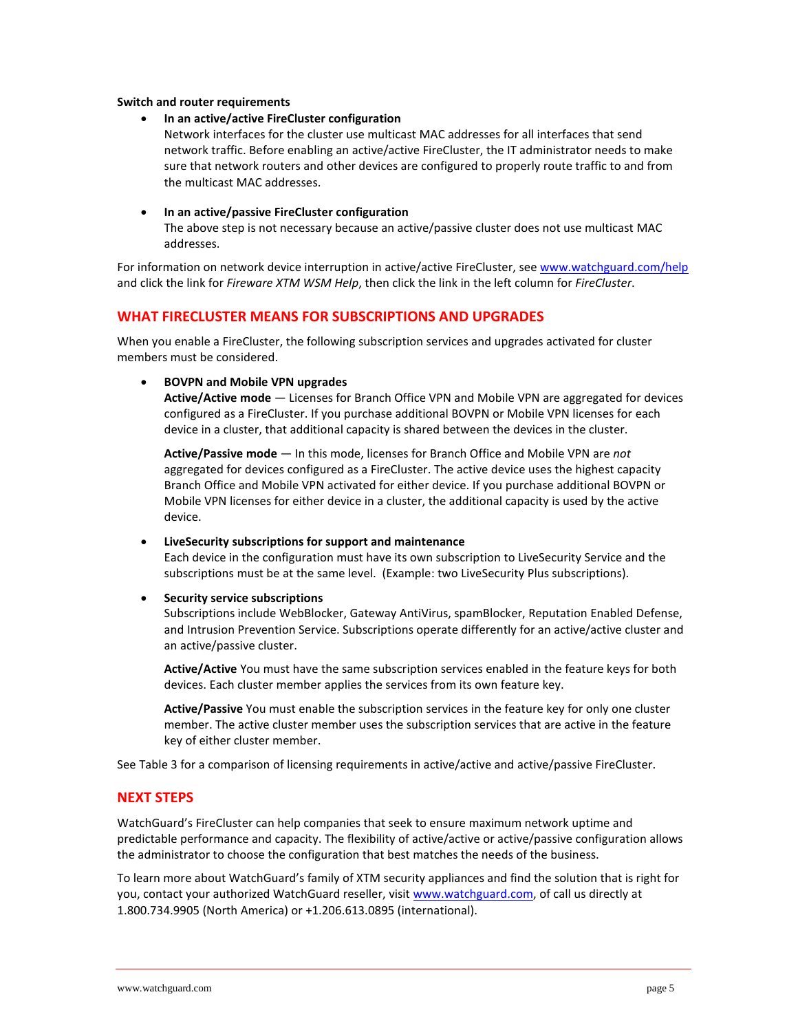#### **Switch and router requirements**

• **In an active/active FireCluster configuration**

Network interfaces for the cluster use multicast MAC addresses for all interfaces that send network traffic. Before enabling an active/active FireCluster, the IT administrator needs to make sure that network routers and other devices are configured to properly route traffic to and from the multicast MAC addresses.

• **In an active/passive FireCluster configuration**

The above step is not necessary because an active/passive cluster does not use multicast MAC addresses.

For information on network device interruption in active/active FireCluster, se[e www.watchguard.com/help](http://www.watchguard.com/help) and click the link for *Fireware XTM WSM Help*, then click the link in the left column for *FireCluster*.

## **WHAT FIRECLUSTER MEANS FOR SUBSCRIPTIONS AND UPGRADES**

When you enable a FireCluster, the following subscription services and upgrades activated for cluster members must be considered.

#### • **BOVPN and Mobile VPN upgrades**

**Active/Active mode** — Licenses for Branch Office VPN and Mobile VPN are aggregated for devices configured as a FireCluster. If you purchase additional BOVPN or Mobile VPN licenses for each device in a cluster, that additional capacity is shared between the devices in the cluster.

**Active/Passive mode** — In this mode, licenses for Branch Office and Mobile VPN are *not* aggregated for devices configured as a FireCluster. The active device uses the highest capacity Branch Office and Mobile VPN activated for either device. If you purchase additional BOVPN or Mobile VPN licenses for either device in a cluster, the additional capacity is used by the active device.

#### • **LiveSecurity subscriptions for support and maintenance**

Each device in the configuration must have its own subscription to LiveSecurity Service and the subscriptions must be at the same level. (Example: two LiveSecurity Plus subscriptions).

#### • **Security service subscriptions**

Subscriptions include WebBlocker, Gateway AntiVirus, spamBlocker, Reputation Enabled Defense, and Intrusion Prevention Service. Subscriptions operate differently for an active/active cluster and an active/passive cluster.

**Active/Active** You must have the same subscription services enabled in the feature keys for both devices. Each cluster member applies the services from its own feature key.

**Active/Passive** You must enable the subscription services in the feature key for only one cluster member. The active cluster member uses the subscription services that are active in the feature key of either cluster member.

See Table 3 for a comparison of licensing requirements in active/active and active/passive FireCluster.

#### **NEXT STEPS**

WatchGuard's FireCluster can help companies that seek to ensure maximum network uptime and predictable performance and capacity. The flexibility of active/active or active/passive configuration allows the administrator to choose the configuration that best matches the needs of the business.

To learn more about WatchGuard's family of XTM security appliances and find the solution that is right for you, contact your authorized WatchGuard reseller, visit [www.watchguard.com,](http://www.watchguard.com/) of call us directly at 1.800.734.9905 (North America) or +1.206.613.0895 (international).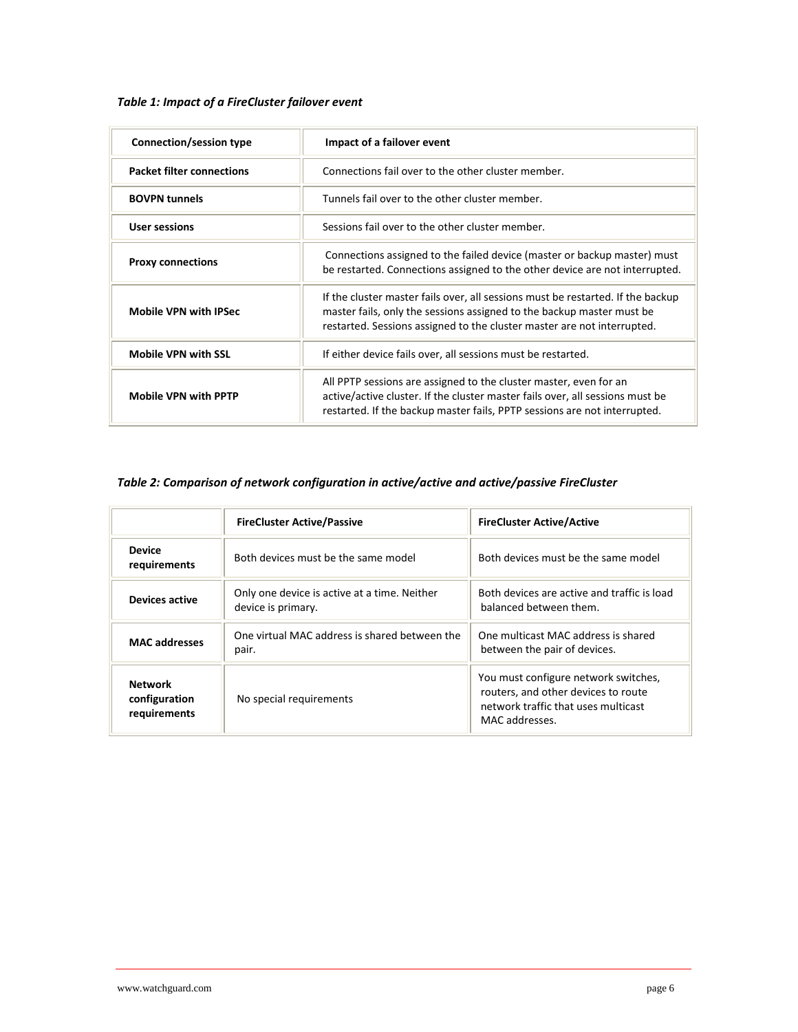## *Table 1: Impact of a FireCluster failover event*

| Connection/session type          | Impact of a failover event                                                                                                                                                                                                          |  |
|----------------------------------|-------------------------------------------------------------------------------------------------------------------------------------------------------------------------------------------------------------------------------------|--|
| <b>Packet filter connections</b> | Connections fail over to the other cluster member.                                                                                                                                                                                  |  |
| <b>BOVPN tunnels</b>             | Tunnels fail over to the other cluster member.                                                                                                                                                                                      |  |
| <b>User sessions</b>             | Sessions fail over to the other cluster member.                                                                                                                                                                                     |  |
| <b>Proxy connections</b>         | Connections assigned to the failed device (master or backup master) must<br>be restarted. Connections assigned to the other device are not interrupted.                                                                             |  |
| <b>Mobile VPN with IPSec</b>     | If the cluster master fails over, all sessions must be restarted. If the backup<br>master fails, only the sessions assigned to the backup master must be<br>restarted. Sessions assigned to the cluster master are not interrupted. |  |
| <b>Mobile VPN with SSL</b>       | If either device fails over, all sessions must be restarted.                                                                                                                                                                        |  |
| <b>Mobile VPN with PPTP</b>      | All PPTP sessions are assigned to the cluster master, even for an<br>active/active cluster. If the cluster master fails over, all sessions must be<br>restarted. If the backup master fails, PPTP sessions are not interrupted.     |  |

# *Table 2: Comparison of network configuration in active/active and active/passive FireCluster*

|                                                 | <b>FireCluster Active/Passive</b>                                  | <b>FireCluster Active/Active</b>                                                                                                     |
|-------------------------------------------------|--------------------------------------------------------------------|--------------------------------------------------------------------------------------------------------------------------------------|
| <b>Device</b><br>requirements                   | Both devices must be the same model                                | Both devices must be the same model                                                                                                  |
| Devices active                                  | Only one device is active at a time. Neither<br>device is primary. | Both devices are active and traffic is load<br>balanced between them.                                                                |
| <b>MAC</b> addresses                            | One virtual MAC address is shared between the<br>pair.             | One multicast MAC address is shared<br>between the pair of devices.                                                                  |
| <b>Network</b><br>configuration<br>requirements | No special requirements                                            | You must configure network switches,<br>routers, and other devices to route<br>network traffic that uses multicast<br>MAC addresses. |